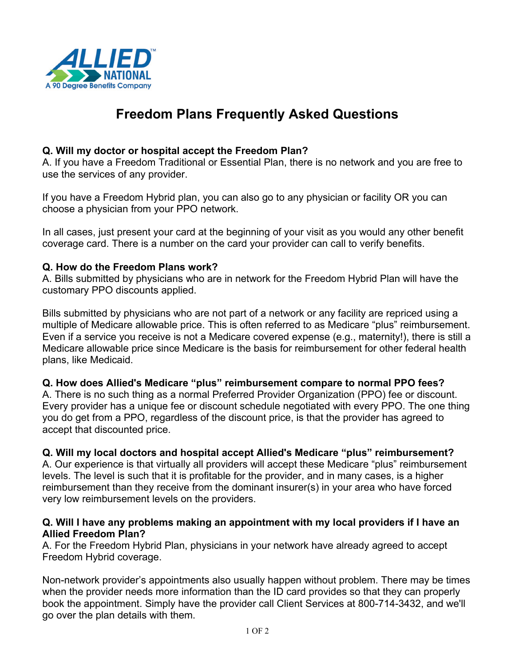

# **Freedom Plans Frequently Asked Questions**

#### **Q. Will my doctor or hospital accept the Freedom Plan?**

A. If you have a Freedom Traditional or Essential Plan, there is no network and you are free to use the services of any provider.

If you have a Freedom Hybrid plan, you can also go to any physician or facility OR you can choose a physician from your PPO network.

In all cases, just present your card at the beginning of your visit as you would any other benefit coverage card. There is a number on the card your provider can call to verify benefits.

### **Q. How do the Freedom Plans work?**

A. Bills submitted by physicians who are in network for the Freedom Hybrid Plan will have the customary PPO discounts applied.

Bills submitted by physicians who are not part of a network or any facility are repriced using a multiple of Medicare allowable price. This is often referred to as Medicare "plus" reimbursement. Even if a service you receive is not a Medicare covered expense (e.g., maternity!), there is still a Medicare allowable price since Medicare is the basis for reimbursement for other federal health plans, like Medicaid.

#### **Q. How does Allied's Medicare "plus" reimbursement compare to normal PPO fees?**

A. There is no such thing as a normal Preferred Provider Organization (PPO) fee or discount. Every provider has a unique fee or discount schedule negotiated with every PPO. The one thing you do get from a PPO, regardless of the discount price, is that the provider has agreed to accept that discounted price.

## **Q. Will my local doctors and hospital accept Allied's Medicare "plus" reimbursement?**

A. Our experience is that virtually all providers will accept these Medicare "plus" reimbursement levels. The level is such that it is profitable for the provider, and in many cases, is a higher reimbursement than they receive from the dominant insurer(s) in your area who have forced very low reimbursement levels on the providers.

#### **Q. Will I have any problems making an appointment with my local providers if I have an Allied Freedom Plan?**

A. For the Freedom Hybrid Plan, physicians in your network have already agreed to accept Freedom Hybrid coverage.

Non-network provider's appointments also usually happen without problem. There may be times when the provider needs more information than the ID card provides so that they can properly book the appointment. Simply have the provider call Client Services at 800-714-3432, and we'll go over the plan details with them.